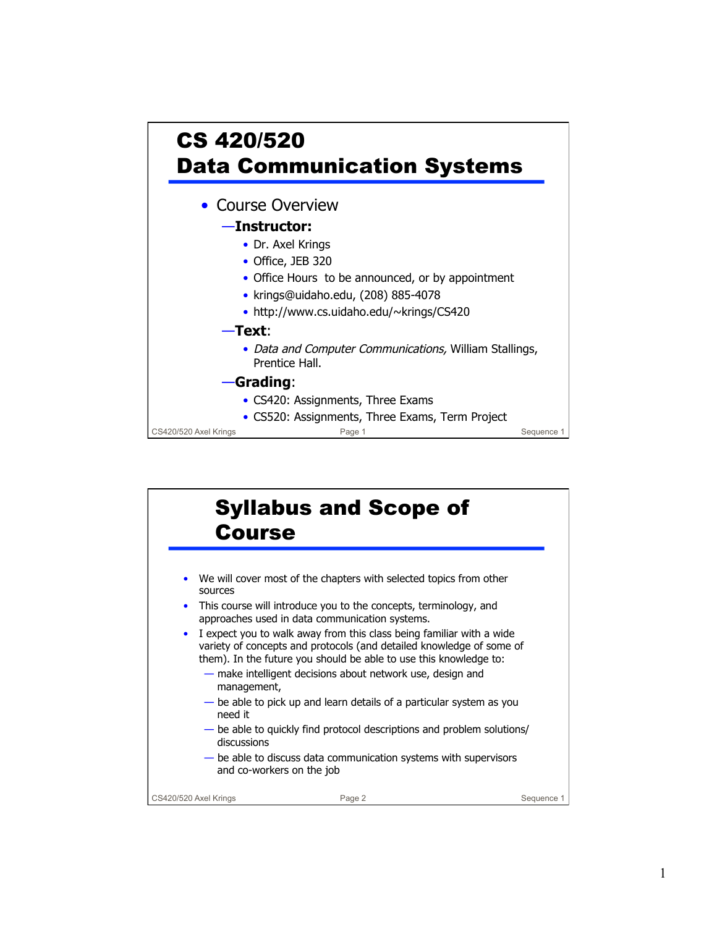

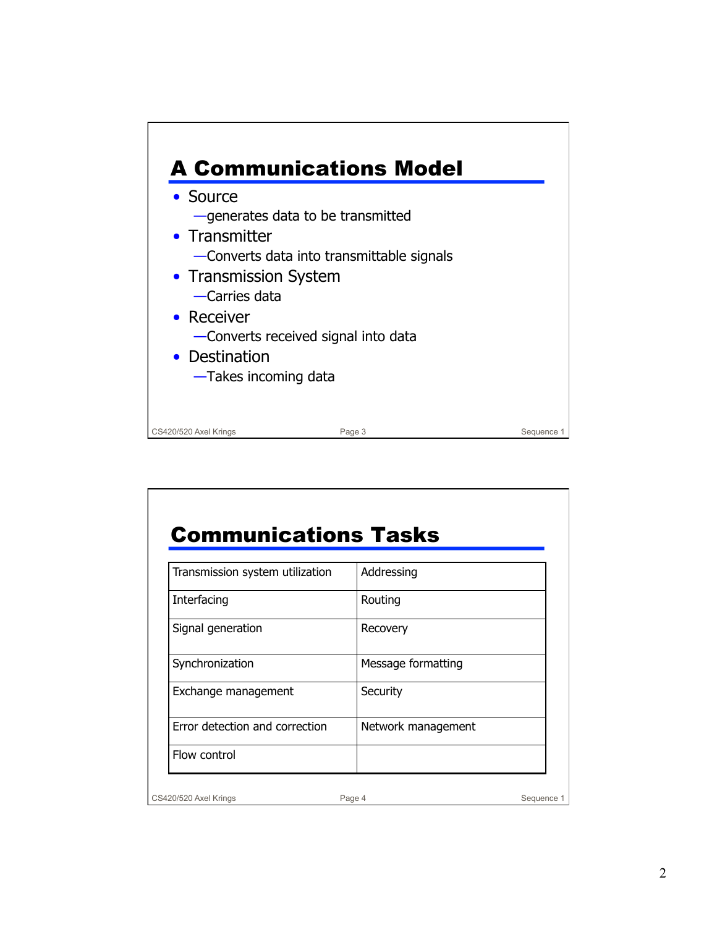

## Communications Tasks

| Transmission system utilization | Addressing         |            |
|---------------------------------|--------------------|------------|
| Interfacing                     | Routing            |            |
| Signal generation               | Recovery           |            |
| Synchronization                 | Message formatting |            |
| Exchange management             | Security           |            |
| Error detection and correction  | Network management |            |
| Flow control                    |                    |            |
| CS420/520 Axel Krings           | Page 4             | Sequence 1 |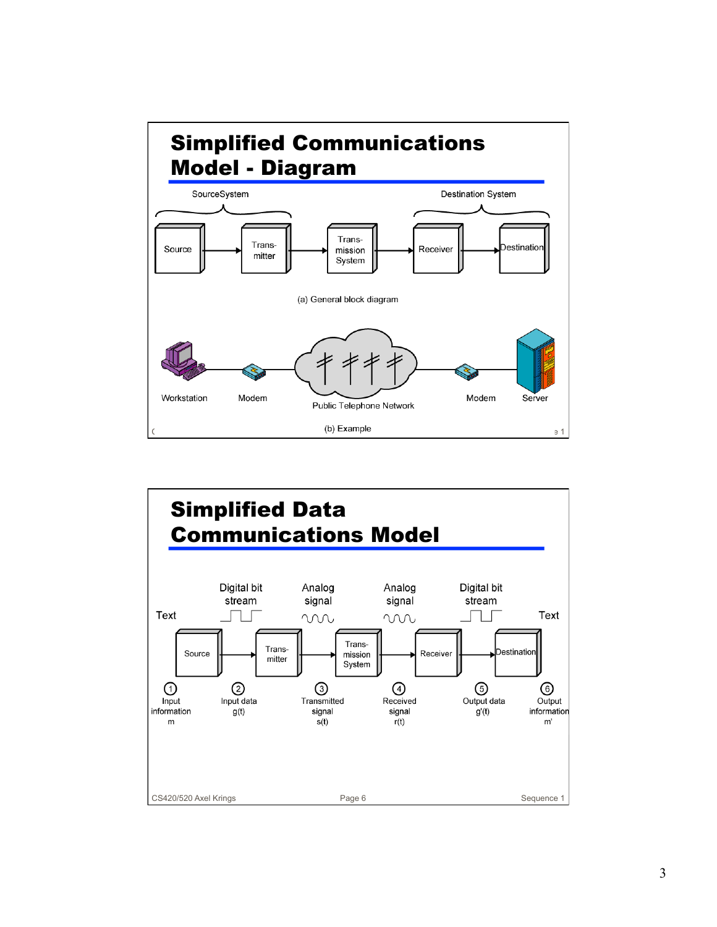

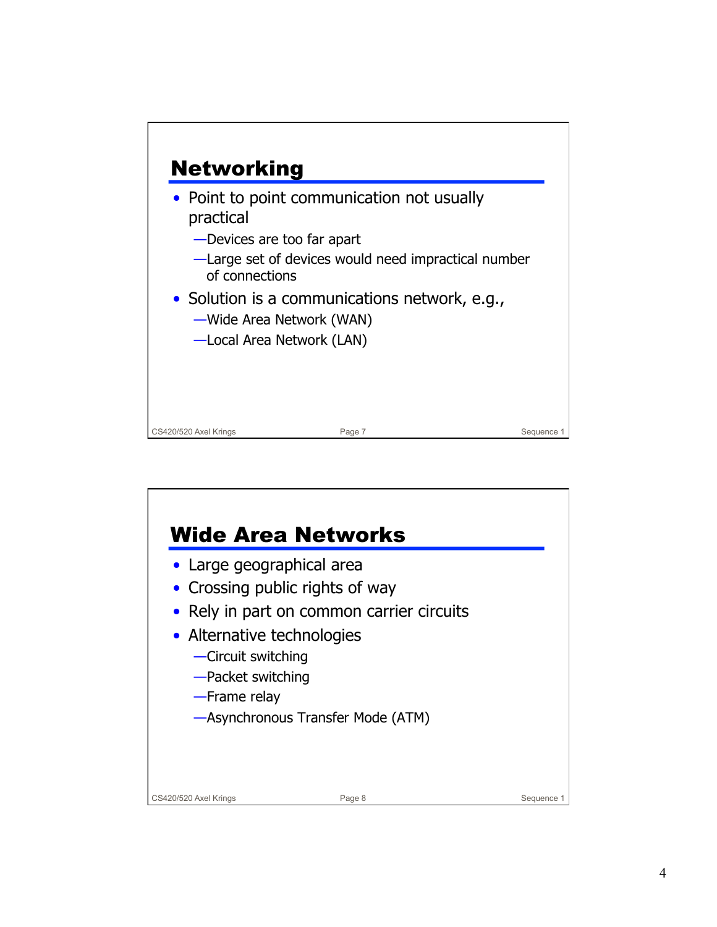

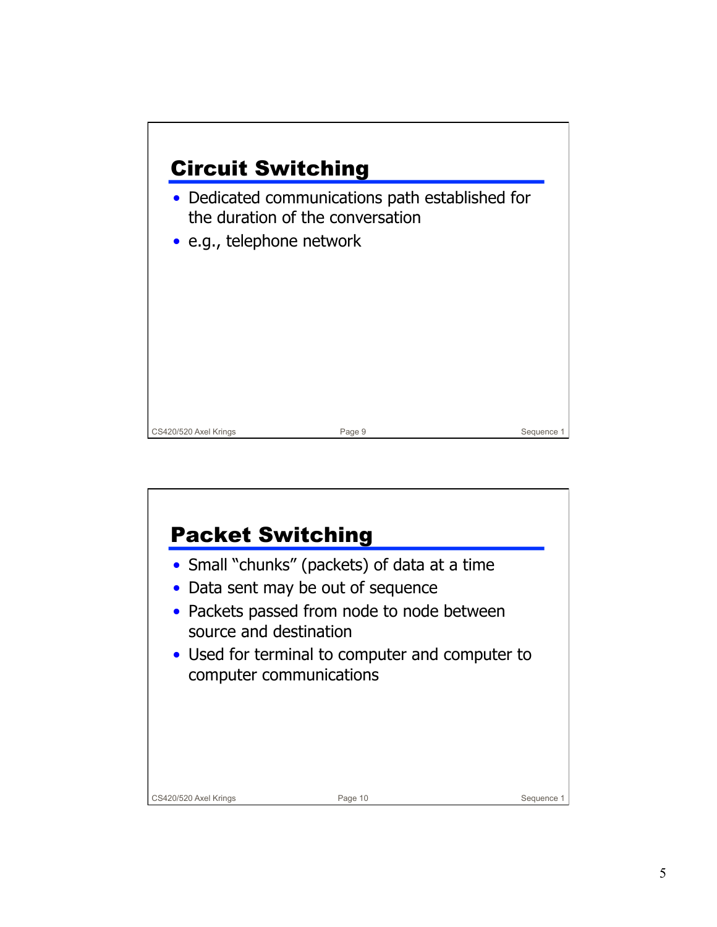

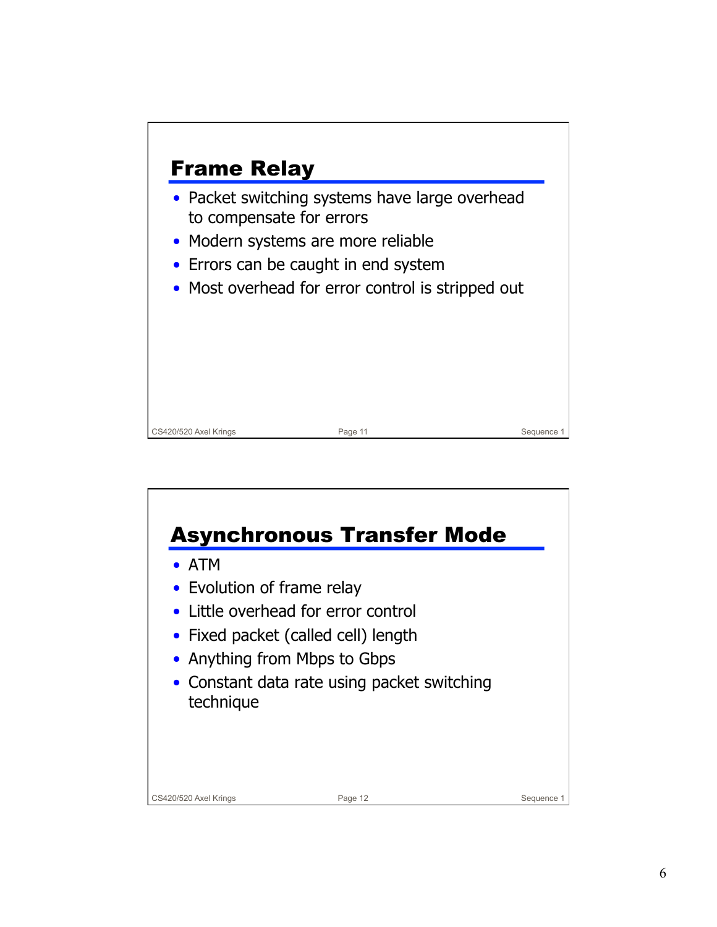

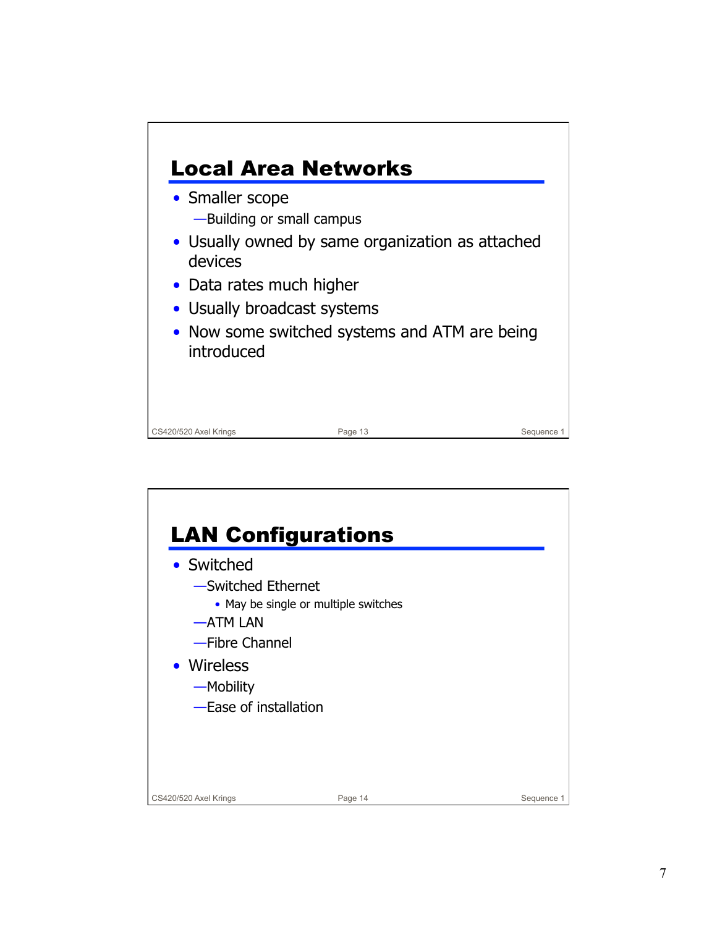